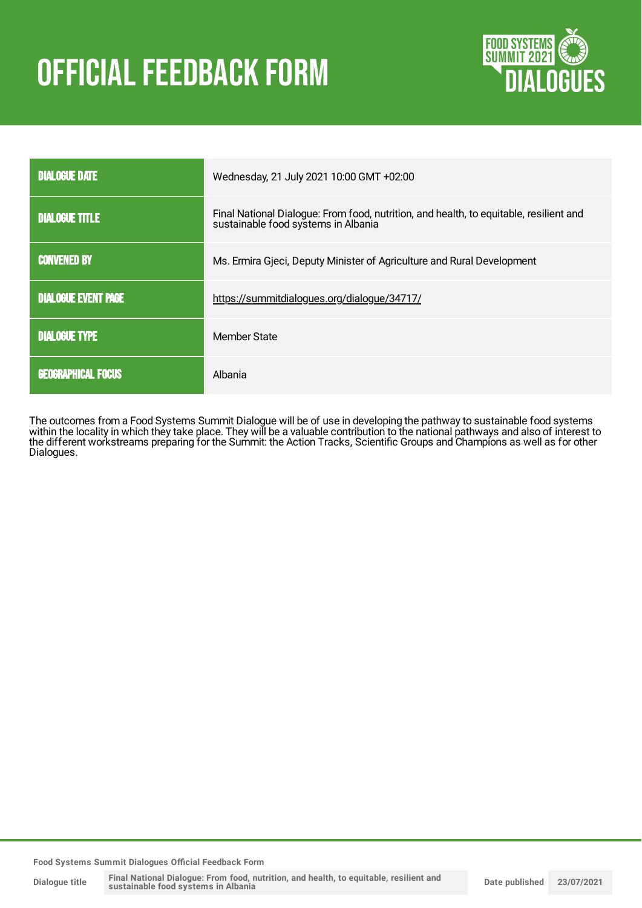# **OFFICIAL FEEDBACK FORM**



| <b>DIALOGUE DATE</b>       | Wednesday, 21 July 2021 10:00 GMT +02:00                                                                                      |
|----------------------------|-------------------------------------------------------------------------------------------------------------------------------|
| <b>DIALOGUE TITLE</b>      | Final National Dialogue: From food, nutrition, and health, to equitable, resilient and<br>sustainable food systems in Albania |
| <b>CONVENED BY</b>         | Ms. Ermira Gjeci, Deputy Minister of Agriculture and Rural Development                                                        |
| <b>DIALOGUE EVENT PAGE</b> | https://summitdialogues.org/dialogue/34717/                                                                                   |
| <b>DIALOGUE TYPE</b>       | Member State                                                                                                                  |
| <b>GEOGRAPHICAL FOCUS</b>  | Albania                                                                                                                       |

The outcomes from a Food Systems Summit Dialogue will be of use in developing the pathway to sustainable food systems within the locality in which they take place. They will be a valuable contribution to the national pathways and also of interest to the different workstreams preparing for the Summit: the Action Tracks, Scientific Groups and Champions as well as for other Dialogues.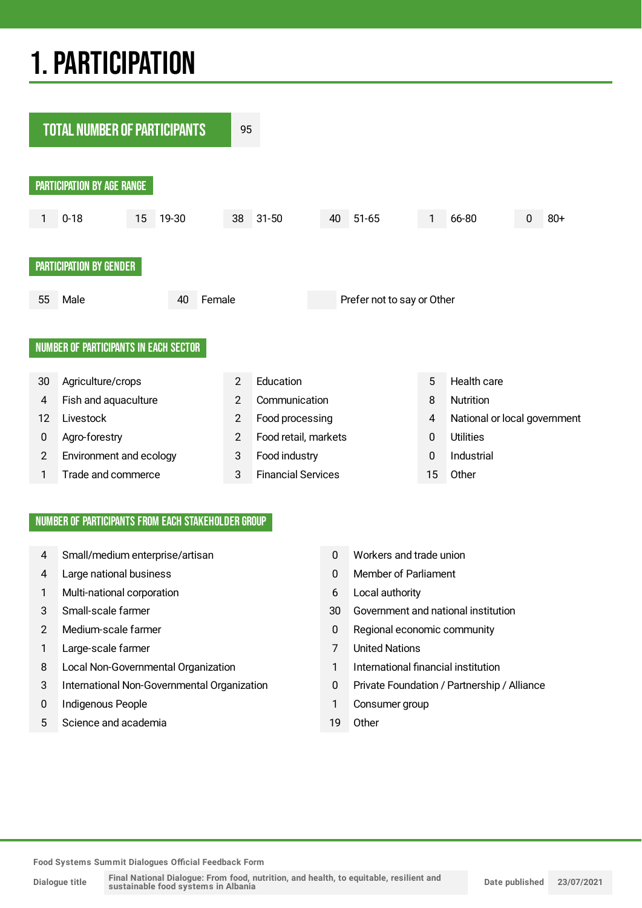# 1.PARTICIPATION



#### NUMBER OF PARTICIPANTS FROM EACH STAKEHOLDER GROUP

- 4 Small/medium enterprise/artisan 0 Workers and trade union
- 4 Large national business 0 Member of Parliament
- 1 Multi-national corporation 6 Local authority
- 
- 
- 1 Large-scale farmer 7 United Nations
- 8 Local Non-Governmental Organization 1 International financial institution
- 3 International Non-Governmental Organization 0 Private Foundation / Partnership / Alliance
- 0 Indigenous People 1 Consumer group
- 5 Science and academia 19 Other
- 
- 
- 
- 3 Small-scale farmer 30 Government and national institution
- 2 Medium-scale farmer 12 Medium-scale farmer 12 Medium-scale farmer 12 Medium-scale farmer 12 Medium-scale farmer 12 Medium-scale farmer 12 Medium-scale farmer 12 Medium-scale farmer 12 Medium-scale farmer 12 Medium-scale
	-
	-
	-
	-
	-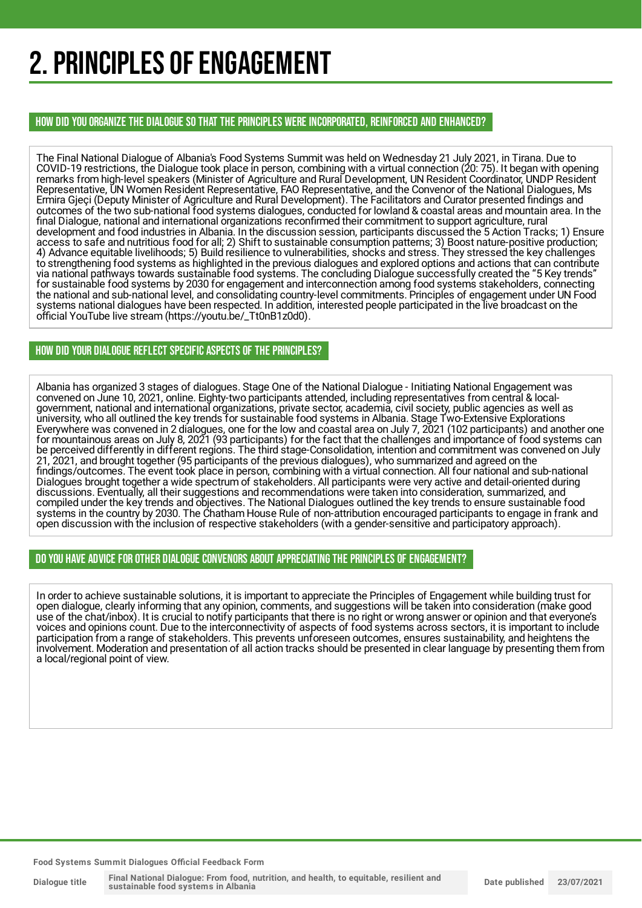# 2. PRINCIPLES OF ENGAGEMENT

HOW DID YOU ORGANIZE THE DIALOGUE SO THAT THE PRINCIPLES WERE INCORPORATED, REINFORCED AND ENHANCED?

The Final National Dialogue of Albania's Food Systems Summit was held on Wednesday 21 July 2021, in Tirana. Due to COVID-19 restrictions, the Dialogue took place in person, combining with a virtual connection (20: 75). It began with opening remarks from high-level speakers (Minister of Agriculture and Rural Development, UN Resident Coordinator, UNDP Resident Representative, UN Women Resident Representative, FAO Representative, and the Convenor of the National Dialogues, Ms Ermira Gjeçi (Deputy Minister of Agriculture and Rural Development). The Facilitators and Curator presented findings and outcomes of the two sub-national food systems dialogues, conducted for lowland & coastal areas and mountain area. In the final Dialogue, national and international organizations reconfirmed their commitment to support agriculture, rural development and food industries in Albania. In the discussion session, participants discussed the 5 Action Tracks; 1) Ensure access to safe and nutritious food for all; 2) Shift to sustainable consumption patterns; 3) Boost nature-positive production; 4) Advance equitable livelihoods; 5) Build resilience to vulnerabilities, shocks and stress. They stressed the key challenges to strengthening food systems as highlighted in the previous dialogues and explored options and actions that can contribute via national pathways towards sustainable food systems. The concluding Dialogue successfully created the "5 Key trends" for sustainable food systems by 2030 for engagement and interconnection among food systems stakeholders, connecting the national and sub-national level, and consolidating country-level commitments. Principles of engagement under UN Food systems national dialogues have been respected. In addition, interested people participated in the live broadcast on the official YouTube live stream (https://youtu.be/\_Tt0nB1z0d0).

#### HOW DID YOUR DIALOGUE REFLECT SPECIFIC ASPECTS OF THE PRINCIPLES?

Albania has organized 3 stages of dialogues. Stage One of the National Dialogue - Initiating National Engagement was convened on June 10, 2021, online. Eighty-two participants attended, including representatives from central & localgovernment, national and international organizations, private sector, academia, civil society, public agencies as well as university, who all outlined the key trends for sustainable food systems in Albania. Stage Two-Extensive Explorations Everywhere was convened in 2 dialogues, one for the low and coastal area on July 7, 2021 (102 participants) and another one for mountainous areas on July 8, 2021 (93 participants) for the fact that the challenges and importance of food systems can be perceived differently in different regions. The third stage-Consolidation, intention and commitment was convened on July 21, 2021, and brought together (95 participants of the previous dialogues), who summarized and agreed on the findings/outcomes. The event took place in person, combining with a virtual connection. All four national and sub-national Dialogues brought together a wide spectrum of stakeholders. All participants were very active and detail-oriented during discussions. Eventually, all their suggestions and recommendations were taken into consideration, summarized, and compiled under the key trends and objectives. The National Dialogues outlined the key trends to ensure sustainable food systems in the country by 2030. The Chatham House Rule of non-attribution encouraged participants to engage in frank and open discussion with the inclusion of respective stakeholders (with a gender-sensitive and participatory approach).

#### DO YOU HAVE ADVICE FOR OTHER DIALOGUE CONVENORS ABOUT APPRECIATING THE PRINCIPLES OF ENGAGEMENT?

In order to achieve sustainable solutions, it is important to appreciate the Principles of Engagement while building trust for open dialogue, clearly informing that any opinion, comments, and suggestions will be taken into consideration (make good use of the chat/inbox). It is crucial to notify participants that there is no right or wrong answer or opinion and that everyone's voices and opinions count. Due to the interconnectivity of aspects of food systems across sectors, it is important to include participation from a range of stakeholders. This prevents unforeseen outcomes, ensures sustainability, and heightens the involvement. Moderation and presentation of all action tracks should be presented in clear language by presenting them from a local/regional point of view.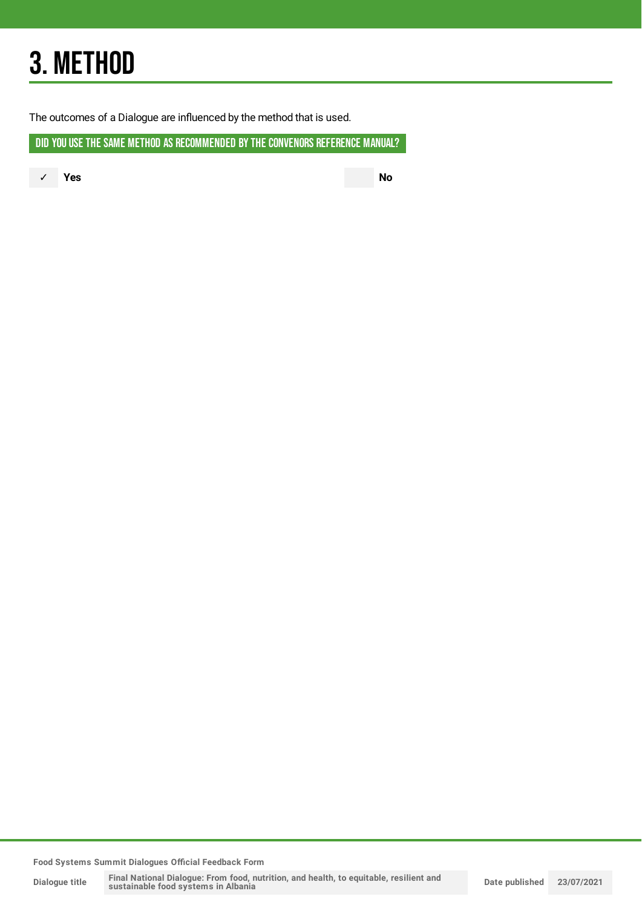# 3. METHOD

The outcomes of a Dialogue are influenced by the method that is used.

DID YOU USE THE SAME METHOD AS RECOMMENDED BY THE CONVENORS REFERENCE MANUAL?

✓ **Yes No**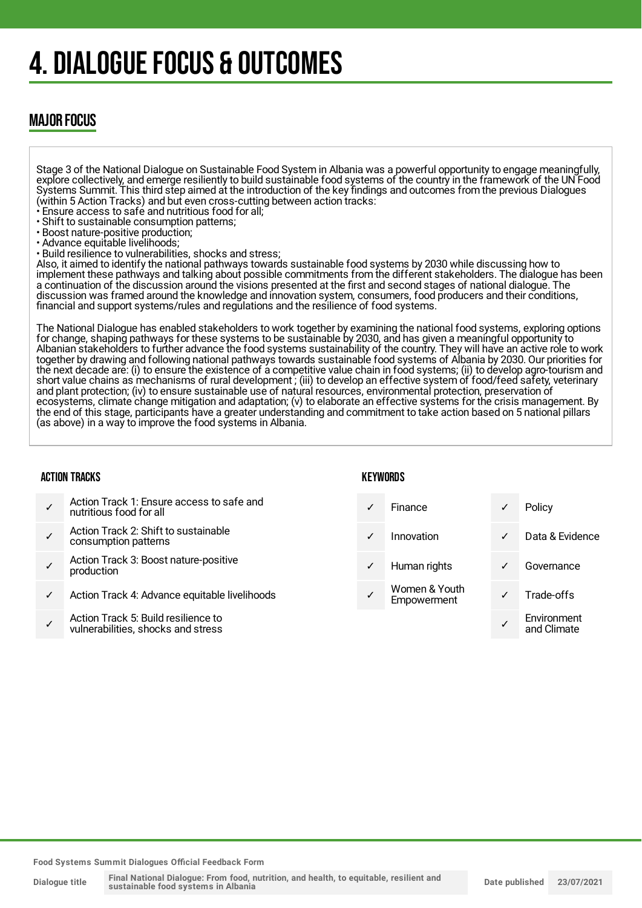# 4. DIALOGUE FOCUS & OUTCOMES

### MAJOR FOCUS

Stage 3 of the National Dialogue on Sustainable Food System in Albania was a powerful opportunity to engage meaningfully, explore collectively, and emerge resiliently to build sustainable food systems of the country in the framework of the UN Food Systems Summit. This third step aimed at the introduction of the key findings and outcomes from the previous Dialogues (within 5 Action Tracks) and but even cross-cutting between action tracks:

- Ensure access to safe and nutritious food for all;
- Shift to sustainable consumption patterns;
- Boost nature-positive production;
- Advance equitable livelihoods;
- Build resilience to vulnerabilities, shocks and stress;

Also, it aimed to identify the national pathways towards sustainable food systems by 2030 while discussing how to implement these pathways and talking about possible commitments from the different stakeholders. The dialogue has been a continuation of the discussion around the visions presented at the first and second stages of national dialogue. The discussion was framed around the knowledge and innovation system, consumers, food producers and their conditions, financial and support systems/rules and regulations and the resilience of food systems.

The National Dialogue has enabled stakeholders to work together by examining the national food systems, exploring options for change, shaping pathways for these systems to be sustainable by 2030, and has given a meaningful opportunity to Albanian stakeholders to further advance the food systems sustainability of the country. They will have an active role to work together by drawing and following national pathways towards sustainable food systems of Albania by 2030. Our priorities for the next decade are: (i) to ensure the existence of a competitive value chain in food systems; (ii) to develop agro-tourism and short value chains as mechanisms of rural development ; (iii) to develop an effective system of food/feed safety, veterinary and plant protection; (iv) to ensure sustainable use of natural resources, environmental protection, preservation of ecosystems, climate change mitigation and adaptation; (v) to elaborate an effective systems for the crisis management. By the end of this stage, participants have a greater understanding and commitment to take action based on 5 national pillars (as above) in a way to improve the food systems in Albania.

#### ACTION TRACKS

| KEYWORDS |  |
|----------|--|
|----------|--|

- ✓ Action Track 1: Ensure access to safe and nutritious food for all
- ✓ Action Track 2: Shift to sustainable consumption patterns
- ✓ Action Track 3: Boost nature-positive production
- Action Track 4: Advance equitable livelihoods
- ✓ Action Track 5: Build resilience to vulnerabilities, shocks and stress

| ✓            | Finance                      | ✓ | Policy                     |
|--------------|------------------------------|---|----------------------------|
| ✓            | Innovation                   | ✓ | Data & Evidence            |
| $\checkmark$ | Human rights                 | ✓ | Governance                 |
|              | Women & Youth<br>Empowerment |   | Trade-offs                 |
|              |                              |   | Environment<br>and Climate |
|              |                              |   |                            |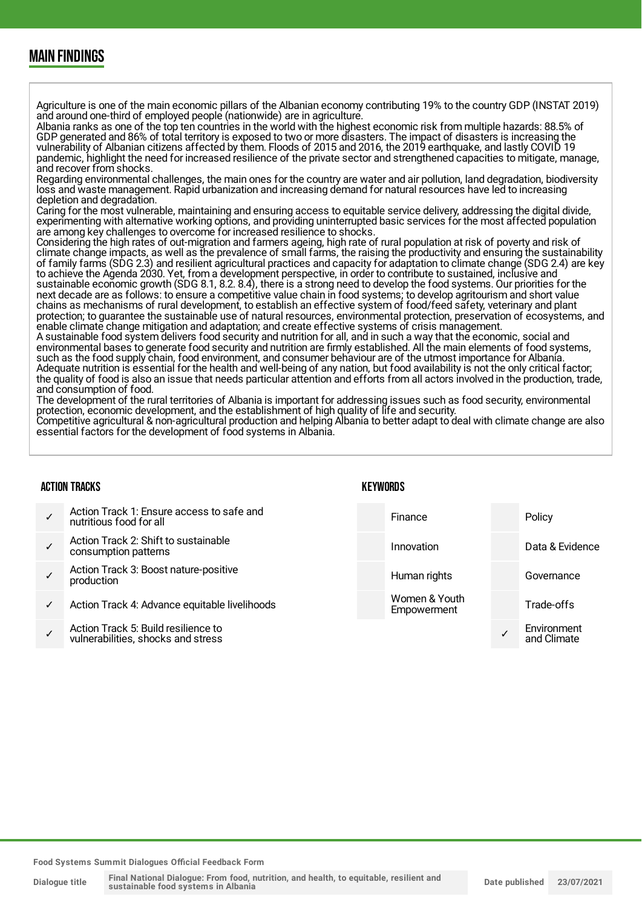### MAIN FINDINGS

Agriculture is one of the main economic pillars of the Albanian economy contributing 19% to the country GDP (INSTAT 2019) and around one-third of employed people (nationwide) are in agriculture.

Albania ranks as one of the top ten countries in the world with the highest economic risk from multiple hazards: 88.5% of GDP generated and 86% of total territory is exposed to two or more disasters. The impact of disasters is increasing the vulnerability of Albanian citizens affected by them. Floods of 2015 and 2016, the 2019 earthquake, and lastly COVID 19 pandemic, highlight the need for increased resilience of the private sector and strengthened capacities to mitigate, manage, and recover from shocks.

Regarding environmental challenges, the main ones for the country are water and air pollution, land degradation, biodiversity loss and waste management. Rapid urbanization and increasing demand for natural resources have led to increasing depletion and degradation.

Caring for the most vulnerable, maintaining and ensuring access to equitable service delivery, addressing the digital divide, experimenting with alternative working options, and providing uninterrupted basic services for the most affected population are among key challenges to overcome for increased resilience to shocks.

Considering the high rates of out-migration and farmers ageing, high rate of rural population at risk of poverty and risk of climate change impacts, as well as the prevalence of small farms, the raising the productivity and ensuring the sustainability of family farms (SDG 2.3) and resilient agricultural practices and capacity for adaptation to climate change (SDG 2.4) are key to achieve the Agenda 2030. Yet, from a development perspective, in order to contribute to sustained, inclusive and sustainable economic growth (SDG 8.1, 8.2. 8.4), there is a strong need to develop the food systems. Our priorities for the next decade are as follows: to ensure a competitive value chain in food systems; to develop agritourism and short value chains as mechanisms of rural development, to establish an effective system of food/feed safety, veterinary and plant protection; to guarantee the sustainable use of natural resources, environmental protection, preservation of ecosystems, and enable climate change mitigation and adaptation; and create effective systems of crisis management.

A sustainable food system delivers food security and nutrition for all, and in such a way that the economic, social and environmental bases to generate food security and nutrition are firmly established. All the main elements of food systems, such as the food supply chain, food environment, and consumer behaviour are of the utmost importance for Albania. Adequate nutrition is essential for the health and well-being of any nation, but food availability is not the only critical factor; the quality of food is also an issue that needs particular attention and efforts from all actors involved in the production, trade, and consumption of food.

The development of the rural territories of Albania is important for addressing issues such as food security, environmental protection, economic development, and the establishment of high quality of life and security.

Competitive agricultural & non-agricultural production and helping Albania to better adapt to deal with climate change are also essential factors for the development of food systems in Albania.

**KEYWORDS** 

#### ACTION TRACKS

#### ✓ Action Track 1: Ensure access to safe and nutritious food for all ✓ Action Track 2: Shift to sustainable consumption patterns ✓ Action Track 3: Boost nature-positive production Action Track 4: Advance equitable livelihoods ✓ Action Track 5: Build resilience to vulnerabilities, shocks and stress Finance Policy Innovation Data & Evidence Human rights **Governance** Women & Youth **Empowerment** Trade-offs ✓ **Environment** and Climate

**Food Systems Summit Dialogues Official Feedback Form**

**Dialogue title Final National Dialogue: From food, nutrition, and health, to equitable, resilient and sustainable food systems in Albania**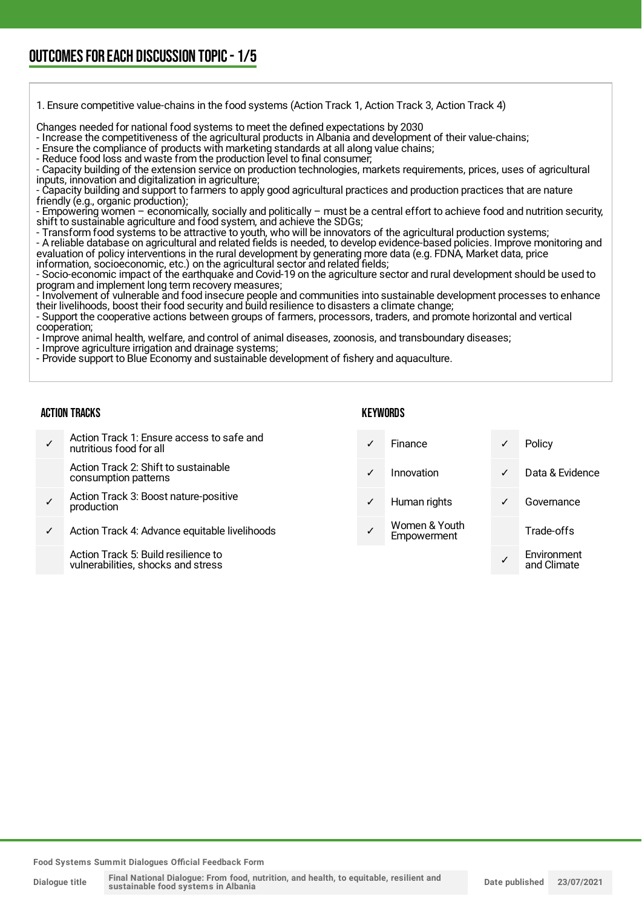1. Ensure competitive value-chains in the food systems (Action Track 1, Action Track 3, Action Track 4)

Changes needed for national food systems to meet the defined expectations by 2030

- Increase the competitiveness of the agricultural products in Albania and development of their value-chains;

- Ensure the compliance of products with marketing standards at all along value chains;

- Reduce food loss and waste from the production level to final consumer;

- Capacity building of the extension service on production technologies, markets requirements, prices, uses of agricultural inputs, innovation and digitalization in agriculture;

- Capacity building and support to farmers to apply good agricultural practices and production practices that are nature friendly (e.g., organic production);

- Empowering women – economically, socially and politically – must be a central effort to achieve food and nutrition security, shift to sustainable agriculture and food system, and achieve the SDGs;

- Transform food systems to be attractive to youth, who will be innovators of the agricultural production systems;

- A reliable database on agricultural and related fields is needed, to develop evidence-based policies. Improve monitoring and evaluation of policy interventions in the rural development by generating more data (e.g. FDNA, Market data, price information, socioeconomic, etc.) on the agricultural sector and related fields;

- Socio-economic impact of the earthquake and Covid-19 on the agriculture sector and rural development should be used to program and implement long term recovery measures;

- Involvement of vulnerable and food insecure people and communities into sustainable development processes to enhance their livelihoods, boost their food security and build resilience to disasters a climate change;

- Support the cooperative actions between groups of farmers, processors, traders, and promote horizontal and vertical cooperation;

- Improve animal health, welfare, and control of animal diseases, zoonosis, and transboundary diseases;

- Improve agriculture irrigation and drainage systems;

- Provide support to Blue Economy and sustainable development of fishery and aquaculture.

#### ACTION TRACKS

**KEYWORDS** 

✓ Action Track 1: Ensure access to safe and nutritious food for all

> Action Track 2: Shift to sustainable consumption patterns

- ✓ Action Track 3: Boost nature-positive production
- Action Track 4: Advance equitable livelihoods

Action Track 5: Build resilience to vulnerabilities, shocks and stress

|              | Finance                      | $\checkmark$ | Policy                     |
|--------------|------------------------------|--------------|----------------------------|
| ✓            | Innovation                   | ✓            | Data & Evidence            |
| $\checkmark$ | Human rights                 |              | Governance                 |
|              | Women & Youth<br>Empowerment |              | Trade-offs                 |
|              |                              |              | Environment<br>and Climate |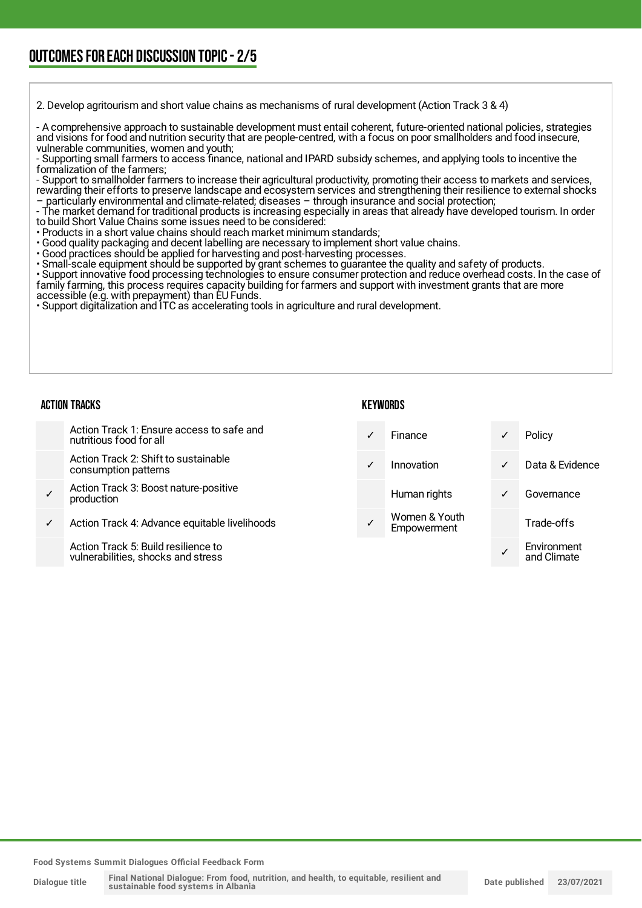2. Develop agritourism and short value chains as mechanisms of rural development (Action Track 3 & 4)

- A comprehensive approach to sustainable development must entail coherent, future-oriented national policies, strategies and visions for food and nutrition security that are people-centred, with a focus on poor smallholders and food insecure, vulnerable communities, women and youth;

- Supporting small farmers to access finance, national and IPARD subsidy schemes, and applying tools to incentive the formalization of the farmers;

- Support to smallholder farmers to increase their agricultural productivity, promoting their access to markets and services, rewarding their efforts to preserve landscape and ecosystem services and strengthening their resilience to external shocks – particularly environmental and climate-related; diseases – through insurance and social protection;

- The market demand for traditional products is increasing especially in areas that already have developed tourism. In order to build Short Value Chains some issues need to be considered:

• Products in a short value chains should reach market minimum standards;

- Good quality packaging and decent labelling are necessary to implement short value chains.
- Good practices should be applied for harvesting and post-harvesting processes.
- Small-scale equipment should be supported by grant schemes to guarantee the quality and safety of products.

• Support innovative food processing technologies to ensure consumer protection and reduce overhead costs. In the case of family farming, this process requires capacity building for farmers and support with investment grants that are more accessible (e.g. with prepayment) than EU Funds.

• Support digitalization and ITC as accelerating tools in agriculture and rural development.

#### ACTION TRACKS

#### **KEYWORDS**

|   | Action Track 1: Ensure access to safe and<br>nutritious food for all      | $\checkmark$ | Finance                      | ✓            | Policy                     |
|---|---------------------------------------------------------------------------|--------------|------------------------------|--------------|----------------------------|
|   | Action Track 2: Shift to sustainable<br>consumption patterns              | $\sqrt{2}$   | Innovation                   | $\checkmark$ | Data & Evidence            |
| ✓ | Action Track 3: Boost nature-positive<br>production                       |              | Human rights                 | $\checkmark$ | Governance                 |
| ✓ | Action Track 4: Advance equitable livelihoods                             |              | Women & Youth<br>Empowerment |              | Trade-offs                 |
|   | Action Track 5: Build resilience to<br>vulnerabilities, shocks and stress |              |                              |              | Environment<br>and Climate |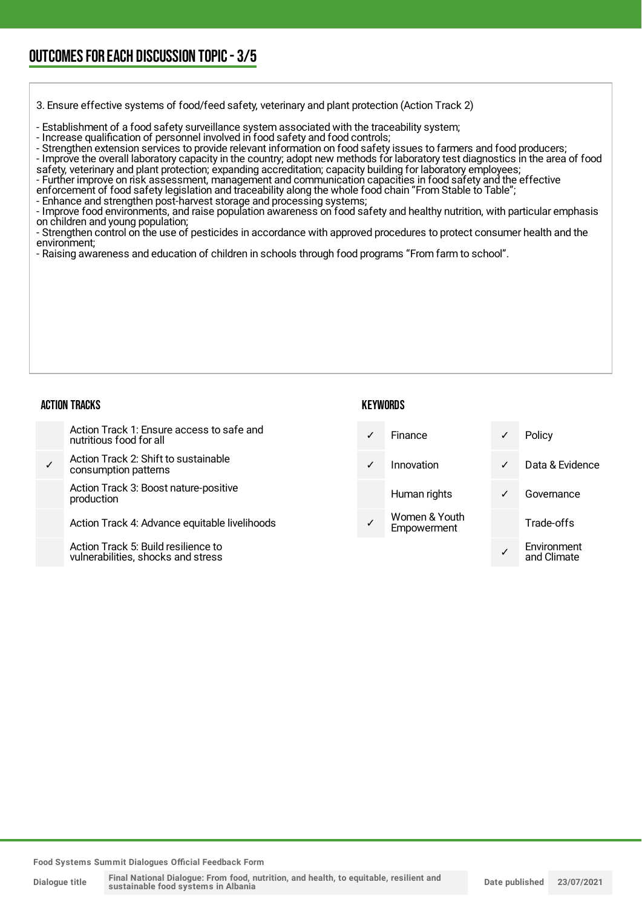### OUTCOMESFOR EACH DISCUSSION TOPIC- 3/5

3. Ensure effective systems of food/feed safety, veterinary and plant protection (Action Track 2)

- Establishment of a food safety surveillance system associated with the traceability system;

- Increase qualification of personnel involved in food safety and food controls;

- Strengthen extension services to provide relevant information on food safety issues to farmers and food producers;

- Improve the overall laboratory capacity in the country; adopt new methods for laboratory test diagnostics in the area of food

safety, veterinary and plant protection; expanding accreditation; capacity building for laboratory employees;

- Further improve on risk assessment, management and communication capacities in food safety and the effective enforcement of food safety legislation and traceability along the whole food chain "From Stable to Table";

- Enhance and strengthen post-harvest storage and processing systems;

- Improve food environments, and raise population awareness on food safety and healthy nutrition, with particular emphasis on children and young population;

- Strengthen control on the use of pesticides in accordance with approved procedures to protect consumer health and the environment;

- Raising awareness and education of children in schools through food programs "From farm to school".

#### ACTION TRACKS

#### **KEYWORDS**

Action Track 1: Ensure access to safe and nutritious food for all ✓ Action Track 2: Shift to sustainable consumption patterns Action Track 3: Boost nature-positive production Action Track 4: Advance equitable livelihoods Finance **v** Policy ✓ Innovation ✓ Data & Evidence Human rights **v** Governance Women & Youth **Empowerment** Trade-offs Environment

Action Track 5: Build resilience to vulnerabilities, shocks and stress

**Food Systems Summit Dialogues Official Feedback Form**

✓

and Climate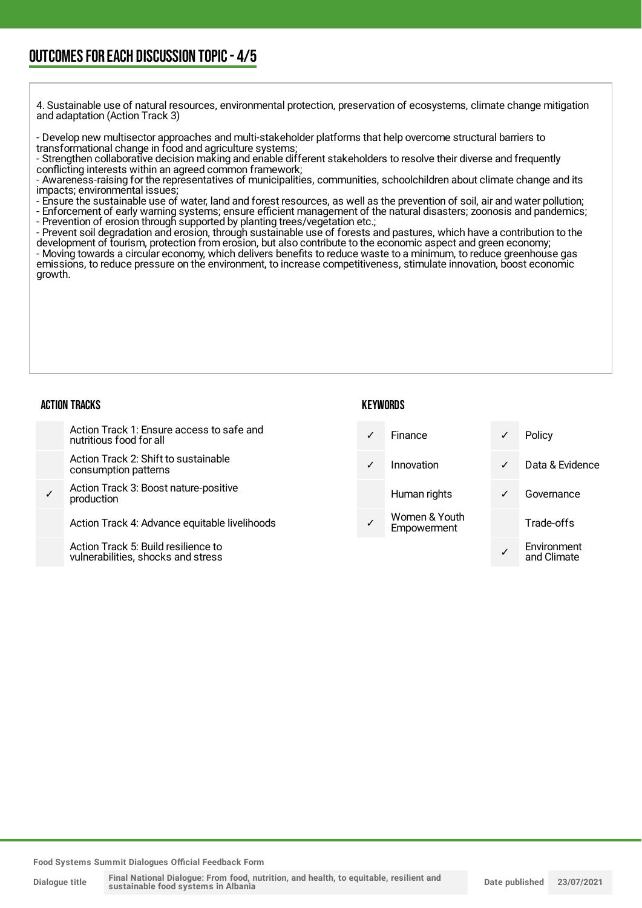### OUTCOMESFOR EACH DISCUSSION TOPIC- 4/5

4. Sustainable use of natural resources, environmental protection, preservation of ecosystems, climate change mitigation and adaptation (Action Track 3)

- Develop new multisector approaches and multi-stakeholder platforms that help overcome structural barriers to transformational change in food and agriculture systems;

- Strengthen collaborative decision making and enable different stakeholders to resolve their diverse and frequently conflicting interests within an agreed common framework;

- Awareness-raising for the representatives of municipalities, communities, schoolchildren about climate change and its impacts; environmental issues;

- Ensure the sustainable use of water, land and forest resources, as well as the prevention of soil, air and water pollution;

- Enforcement of early warning systems; ensure efficient management of the natural disasters; zoonosis and pandemics;

- Prevention of erosion through supported by planting trees/vegetation etc.;
- Prevent soil degradation and erosion, through sustainable use of forests and pastures, which have a contribution to the

development of tourism, protection from erosion, but also contribute to the economic aspect and green economy; - Moving towards a circular economy, which delivers benefits to reduce waste to a minimum, to reduce greenhouse gas emissions, to reduce pressure on the environment, to increase competitiveness, stimulate innovation, boost economic growth.

#### ACTION TRACKS

#### **KEYWORDS**

|   | Action Track 1: Ensure access to safe and<br>nutritious food for all     | ✓            | Finance                      | $\checkmark$ | Policy                     |
|---|--------------------------------------------------------------------------|--------------|------------------------------|--------------|----------------------------|
|   | Action Track 2: Shift to sustainable<br>consumption patterns             | $\checkmark$ | Innovation                   | $\checkmark$ | Data & Evidence            |
| ✓ | Action Track 3: Boost nature-positive<br>production                      |              | Human rights                 | $\checkmark$ | Governance                 |
|   | Action Track 4: Advance equitable livelihoods                            |              | Women & Youth<br>Empowerment |              | Trade-offs                 |
|   | Action Track 5: Build resilience to<br>vulnerabilities shocks and stress |              |                              |              | Environment<br>and Climata |

vulnerabilities, shocks and stress

and Climate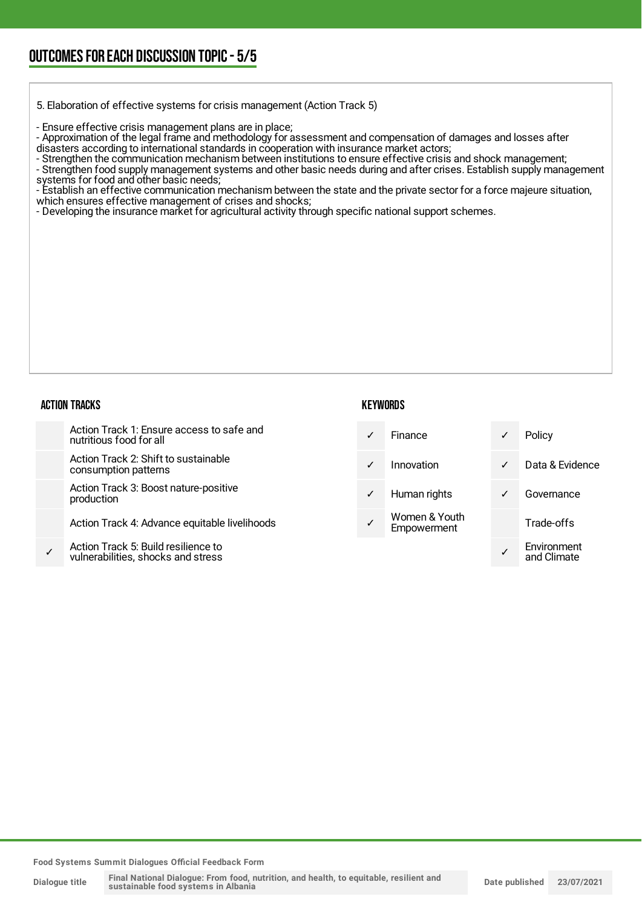5. Elaboration of effective systems for crisis management (Action Track 5)

- Ensure effective crisis management plans are in place;

- Approximation of the legal frame and methodology for assessment and compensation of damages and losses after disasters according to international standards in cooperation with insurance market actors;

- Strengthen the communication mechanism between institutions to ensure effective crisis and shock management;

- Strengthen food supply management systems and other basic needs during and after crises. Establish supply management

systems for food and other basic needs;

- Establish an effective communication mechanism between the state and the private sector for a force majeure situation, which ensures effective management of crises and shocks;

- Developing the insurance market for agricultural activity through specific national support schemes.

#### ACTION TRACKS

#### **KEYWORDS**

|   | Action Track 1: Ensure access to safe and<br>nutritious food for all      | ✓            | <b>Finance</b>               | ✓            | Policy                     |
|---|---------------------------------------------------------------------------|--------------|------------------------------|--------------|----------------------------|
|   | Action Track 2: Shift to sustainable<br>consumption patterns              | ✓            | Innovation                   | $\checkmark$ | Data & Evidence            |
|   | Action Track 3: Boost nature-positive<br>production                       | $\checkmark$ | Human rights                 | $\checkmark$ | Governance                 |
|   | Action Track 4: Advance equitable livelihoods                             |              | Women & Youth<br>Empowerment |              | Trade-offs                 |
| ✓ | Action Track 5: Build resilience to<br>vulnerabilities, shocks and stress |              |                              |              | Environment<br>and Climate |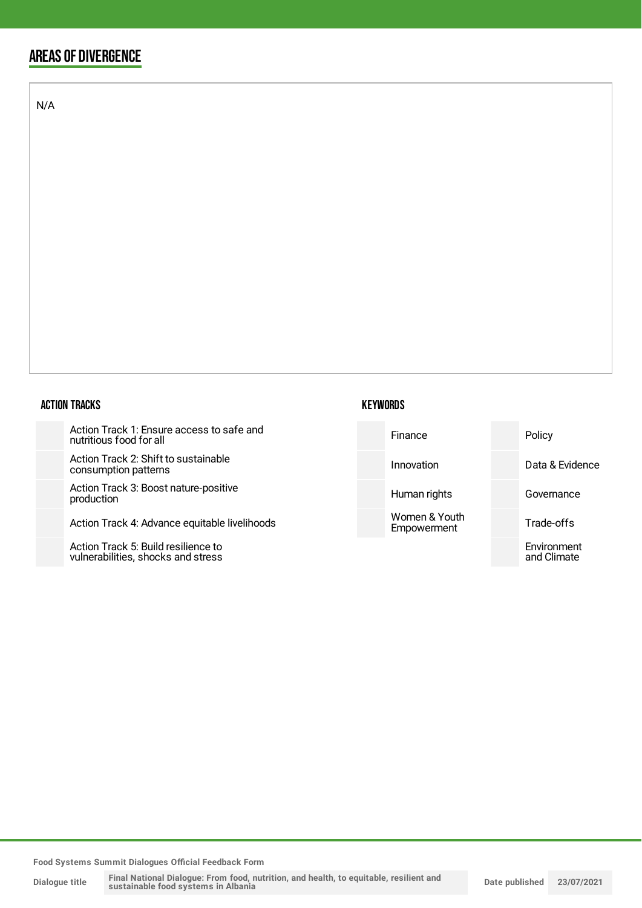### AREAS OF DIVERGENCE

N/A

#### ACTION TRACKS

| Action Track 1: Ensure access to safe and |  |
|-------------------------------------------|--|
| nutritious food for all                   |  |

Action Track 2: Shift to sust consumption patterns

Action Track 3: Boost nature production

Action Track 4: Advance eq

Action Track 5: Build resilience to vulnerabilities, shocks and stress

| <b>KEYWORDS</b> |
|-----------------|
|-----------------|

| ess to safe and     | Finance                      | Policy                     |
|---------------------|------------------------------|----------------------------|
| tainable            | Innovation                   | Data & Evidence            |
| e-positive          | Human rights                 | Governance                 |
| uitable livelihoods | Women & Youth<br>Empowerment | Trade-offs                 |
| nce to<br>stress    |                              | Environment<br>and Climate |
|                     |                              |                            |